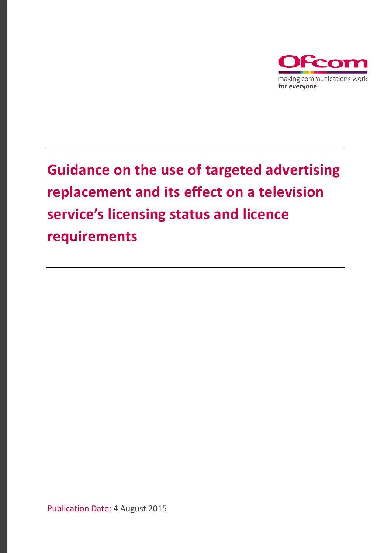

# **Guidance on the use of targeted advertising replacement and its effect on a television service's licensing status and licence requirements**

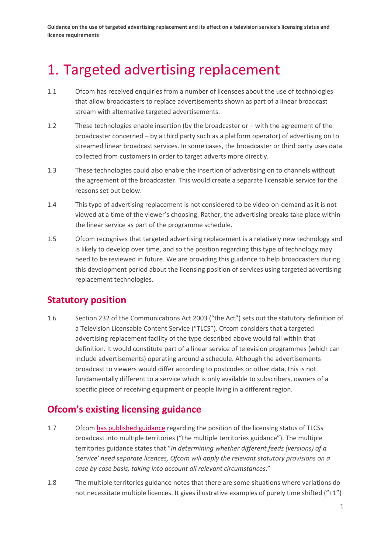**Guidance on the use of targeted advertising replacement and its effect on a television service's licensing status and licence requirements**

## 1. Targeted advertising replacement

- 1.1 Ofcom has received enquiries from a number of licensees about the use of technologies that allow broadcasters to replace advertisements shown as part of a linear broadcast stream with alternative targeted advertisements.
- 1.2 These technologies enable insertion (by the broadcaster or with the agreement of the broadcaster concerned – by a third party such as a platform operator) of advertising on to streamed linear broadcast services. In some cases, the broadcaster or third party uses data collected from customers in order to target adverts more directly.
- 1.3 These technologies could also enable the insertion of advertising on to channels without the agreement of the broadcaster. This would create a separate licensable service for the reasons set out below.
- 1.4 This type of advertising replacement is not considered to be video-on-demand as it is not viewed at a time of the viewer's choosing. Rather, the advertising breaks take place within the linear service as part of the programme schedule.
- 1.5 Ofcom recognises that targeted advertising replacement is a relatively new technology and is likely to develop over time, and so the position regarding this type of technology may need to be reviewed in future. We are providing this guidance to help broadcasters during this development period about the licensing position of services using targeted advertising replacement technologies.

#### **Statutory position**

1.6 Section 232 of the Communications Act 2003 ("the Act") sets out the statutory definition of a Television Licensable Content Service ("TLCS"). Ofcom considers that a targeted advertising replacement facility of the type described above would fall within that definition. It would constitute part of a linear service of television programmes (which can include advertisements) operating around a schedule. Although the advertisements broadcast to viewers would differ according to postcodes or other data, this is not fundamentally different to a service which is only available to subscribers, owners of a specific piece of receiving equipment or people living in a different region.

### **Ofcom's existing licensing guidance**

- 1.7 Ofcom [has published guidance](https://www.ofcom.org.uk/manage-your-licence/tv-broadcast-licences/guidance-for-tv-broadcast-licensees) regarding the position of the licensing status of TLCSs broadcast into multiple territories ("the multiple territories guidance"). The multiple territories guidance states that "*In determining whether different feeds (versions) of a 'service' need separate licences, Ofcom will apply the relevant statutory provisions on a case by case basis, taking into account all relevant circumstances*."
- 1.8 The multiple territories guidance notes that there are some situations where variations do not necessitate multiple licences. It gives illustrative examples of purely time shifted ("+1")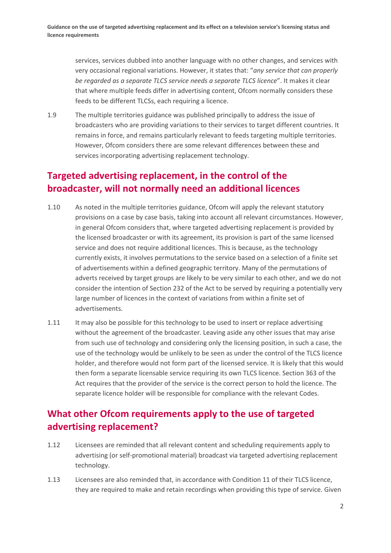services, services dubbed into another language with no other changes, and services with very occasional regional variations. However, it states that: "*any service that can properly be regarded as a separate TLCS service needs a separate TLCS licence*". It makes it clear that where multiple feeds differ in advertising content, Ofcom normally considers these feeds to be different TLCSs, each requiring a licence.

1.9 The multiple territories guidance was published principally to address the issue of broadcasters who are providing variations to their services to target different countries. It remains in force, and remains particularly relevant to feeds targeting multiple territories. However, Ofcom considers there are some relevant differences between these and services incorporating advertising replacement technology.

### **Targeted advertising replacement, in the control of the broadcaster, will not normally need an additional licences**

- 1.10 As noted in the multiple territories guidance, Ofcom will apply the relevant statutory provisions on a case by case basis, taking into account all relevant circumstances. However, in general Ofcom considers that, where targeted advertising replacement is provided by the licensed broadcaster or with its agreement, its provision is part of the same licensed service and does not require additional licences. This is because, as the technology currently exists, it involves permutations to the service based on a selection of a finite set of advertisements within a defined geographic territory. Many of the permutations of adverts received by target groups are likely to be very similar to each other, and we do not consider the intention of Section 232 of the Act to be served by requiring a potentially very large number of licences in the context of variations from within a finite set of advertisements.
- 1.11 It may also be possible for this technology to be used to insert or replace advertising without the agreement of the broadcaster. Leaving aside any other issues that may arise from such use of technology and considering only the licensing position, in such a case, the use of the technology would be unlikely to be seen as under the control of the TLCS licence holder, and therefore would not form part of the licensed service. It is likely that this would then form a separate licensable service requiring its own TLCS licence. Section 363 of the Act requires that the provider of the service is the correct person to hold the licence. The separate licence holder will be responsible for compliance with the relevant Codes.

### **What other Ofcom requirements apply to the use of targeted advertising replacement?**

- 1.12 Licensees are reminded that all relevant content and scheduling requirements apply to advertising (or self-promotional material) broadcast via targeted advertising replacement technology.
- 1.13 Licensees are also reminded that, in accordance with Condition 11 of their TLCS licence, they are required to make and retain recordings when providing this type of service. Given